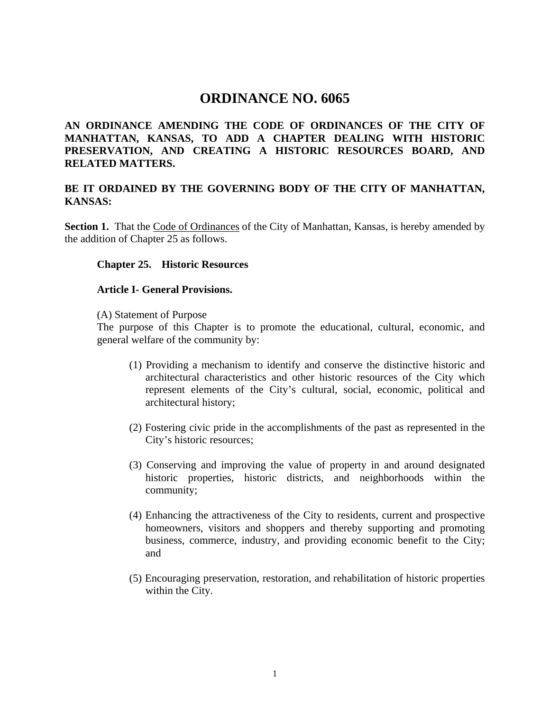# **ORDINANCE NO. 6065**

# **AN ORDINANCE AMENDING THE CODE OF ORDINANCES OF THE CITY OF MANHATTAN, KANSAS, TO ADD A CHAPTER DEALING WITH HISTORIC PRESERVATION, AND CREATING A HISTORIC RESOURCES BOARD, AND RELATED MATTERS.**

### **BE IT ORDAINED BY THE GOVERNING BODY OF THE CITY OF MANHATTAN, KANSAS:**

Section 1. That the Code of Ordinances of the City of Manhattan, Kansas, is hereby amended by the addition of Chapter 25 as follows.

#### **Chapter 25. Historic Resources**

#### **Article I- General Provisions.**

(A) Statement of Purpose

 The purpose of this Chapter is to promote the educational, cultural, economic, and general welfare of the community by:

- (1) Providing a mechanism to identify and conserve the distinctive historic and architectural characteristics and other historic resources of the City which represent elements of the City's cultural, social, economic, political and architectural history;
- (2) Fostering civic pride in the accomplishments of the past as represented in the City's historic resources;
- (3) Conserving and improving the value of property in and around designated historic properties, historic districts, and neighborhoods within the community;
- (4) Enhancing the attractiveness of the City to residents, current and prospective homeowners, visitors and shoppers and thereby supporting and promoting business, commerce, industry, and providing economic benefit to the City; and
- (5) Encouraging preservation, restoration, and rehabilitation of historic properties within the City.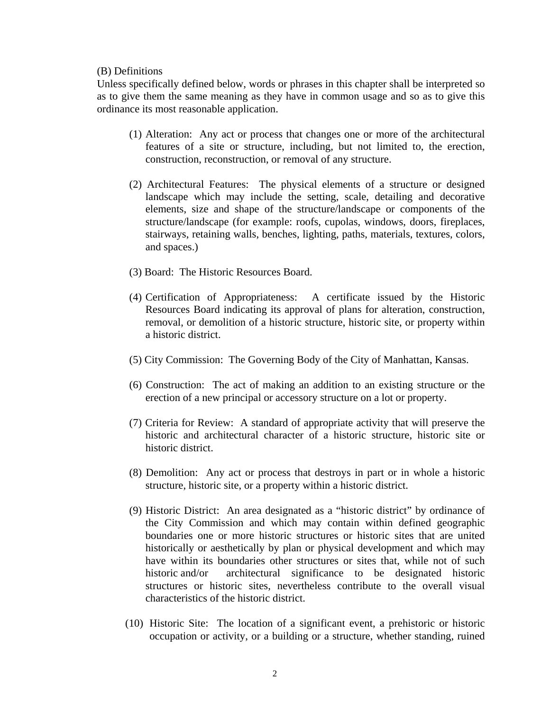#### (B) Definitions

 Unless specifically defined below, words or phrases in this chapter shall be interpreted so as to give them the same meaning as they have in common usage and so as to give this ordinance its most reasonable application.

- (1) Alteration: Any act or process that changes one or more of the architectural features of a site or structure, including, but not limited to, the erection, construction, reconstruction, or removal of any structure.
- (2) Architectural Features: The physical elements of a structure or designed landscape which may include the setting, scale, detailing and decorative elements, size and shape of the structure/landscape or components of the structure/landscape (for example: roofs, cupolas, windows, doors, fireplaces, stairways, retaining walls, benches, lighting, paths, materials, textures, colors, and spaces.)
- (3) Board: The Historic Resources Board.
- (4) Certification of Appropriateness: A certificate issued by the Historic Resources Board indicating its approval of plans for alteration, construction, removal, or demolition of a historic structure, historic site, or property within a historic district.
- (5) City Commission: The Governing Body of the City of Manhattan, Kansas.
- (6) Construction: The act of making an addition to an existing structure or the erection of a new principal or accessory structure on a lot or property.
- (7) Criteria for Review: A standard of appropriate activity that will preserve the historic and architectural character of a historic structure, historic site or historic district.
- (8) Demolition: Any act or process that destroys in part or in whole a historic structure, historic site, or a property within a historic district.
- (9) Historic District: An area designated as a "historic district" by ordinance of the City Commission and which may contain within defined geographic boundaries one or more historic structures or historic sites that are united historically or aesthetically by plan or physical development and which may have within its boundaries other structures or sites that, while not of such historic and/or architectural significance to be designated historic structures or historic sites, nevertheless contribute to the overall visual characteristics of the historic district.
- (10) Historic Site: The location of a significant event, a prehistoric or historic occupation or activity, or a building or a structure, whether standing, ruined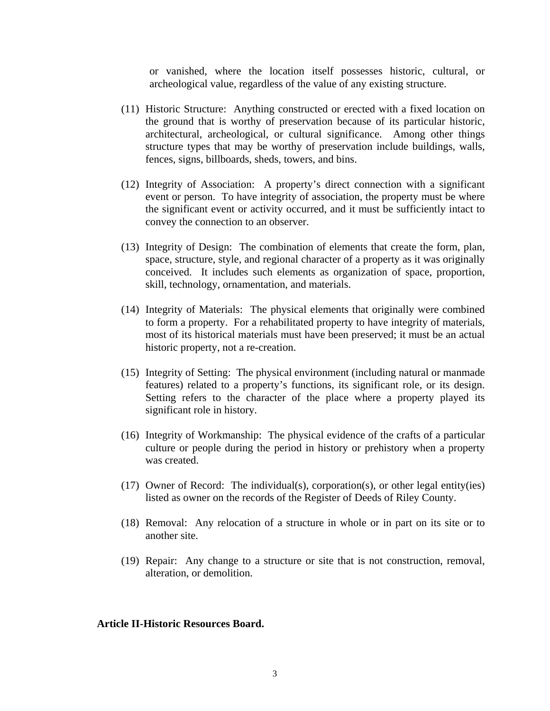or vanished, where the location itself possesses historic, cultural, or archeological value, regardless of the value of any existing structure.

- (11) Historic Structure: Anything constructed or erected with a fixed location on the ground that is worthy of preservation because of its particular historic, architectural, archeological, or cultural significance. Among other things structure types that may be worthy of preservation include buildings, walls, fences, signs, billboards, sheds, towers, and bins.
- (12) Integrity of Association: A property's direct connection with a significant event or person. To have integrity of association, the property must be where the significant event or activity occurred, and it must be sufficiently intact to convey the connection to an observer.
- (13) Integrity of Design: The combination of elements that create the form, plan, space, structure, style, and regional character of a property as it was originally conceived. It includes such elements as organization of space, proportion, skill, technology, ornamentation, and materials.
- (14) Integrity of Materials: The physical elements that originally were combined to form a property. For a rehabilitated property to have integrity of materials, most of its historical materials must have been preserved; it must be an actual historic property, not a re-creation.
- (15) Integrity of Setting: The physical environment (including natural or manmade features) related to a property's functions, its significant role, or its design. Setting refers to the character of the place where a property played its significant role in history.
- (16) Integrity of Workmanship: The physical evidence of the crafts of a particular culture or people during the period in history or prehistory when a property was created.
- (17) Owner of Record: The individual(s), corporation(s), or other legal entity(ies) listed as owner on the records of the Register of Deeds of Riley County.
- (18) Removal: Any relocation of a structure in whole or in part on its site or to another site.
- (19) Repair: Any change to a structure or site that is not construction, removal, alteration, or demolition.

#### **Article II-Historic Resources Board.**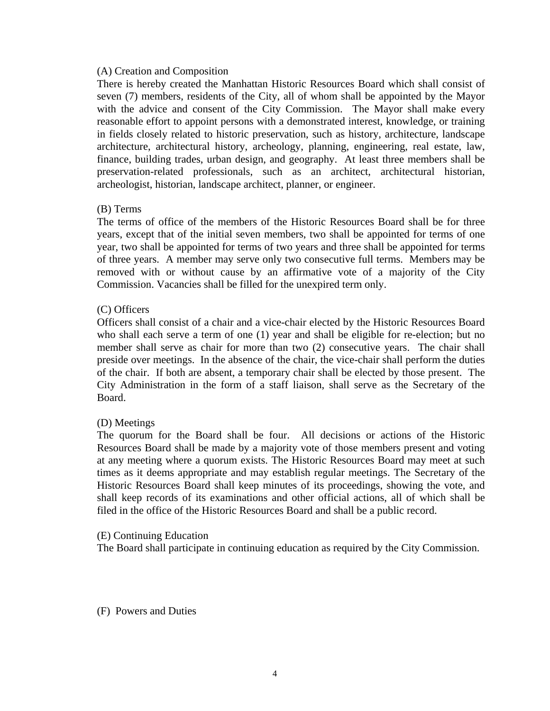#### (A) Creation and Composition

There is hereby created the Manhattan Historic Resources Board which shall consist of seven (7) members, residents of the City, all of whom shall be appointed by the Mayor with the advice and consent of the City Commission. The Mayor shall make every reasonable effort to appoint persons with a demonstrated interest, knowledge, or training in fields closely related to historic preservation, such as history, architecture, landscape architecture, architectural history, archeology, planning, engineering, real estate, law, finance, building trades, urban design, and geography. At least three members shall be preservation-related professionals, such as an architect, architectural historian, archeologist, historian, landscape architect, planner, or engineer.

### (B) Terms

The terms of office of the members of the Historic Resources Board shall be for three years, except that of the initial seven members, two shall be appointed for terms of one year, two shall be appointed for terms of two years and three shall be appointed for terms of three years. A member may serve only two consecutive full terms. Members may be removed with or without cause by an affirmative vote of a majority of the City Commission. Vacancies shall be filled for the unexpired term only.

### (C) Officers

 Officers shall consist of a chair and a vice-chair elected by the Historic Resources Board who shall each serve a term of one (1) year and shall be eligible for re-election; but no member shall serve as chair for more than two (2) consecutive years. The chair shall preside over meetings. In the absence of the chair, the vice-chair shall perform the duties of the chair. If both are absent, a temporary chair shall be elected by those present. The City Administration in the form of a staff liaison, shall serve as the Secretary of the Board.

### (D) Meetings

The quorum for the Board shall be four. All decisions or actions of the Historic Resources Board shall be made by a majority vote of those members present and voting at any meeting where a quorum exists. The Historic Resources Board may meet at such times as it deems appropriate and may establish regular meetings. The Secretary of the Historic Resources Board shall keep minutes of its proceedings, showing the vote, and shall keep records of its examinations and other official actions, all of which shall be filed in the office of the Historic Resources Board and shall be a public record.

#### (E) Continuing Education

The Board shall participate in continuing education as required by the City Commission.

(F) Powers and Duties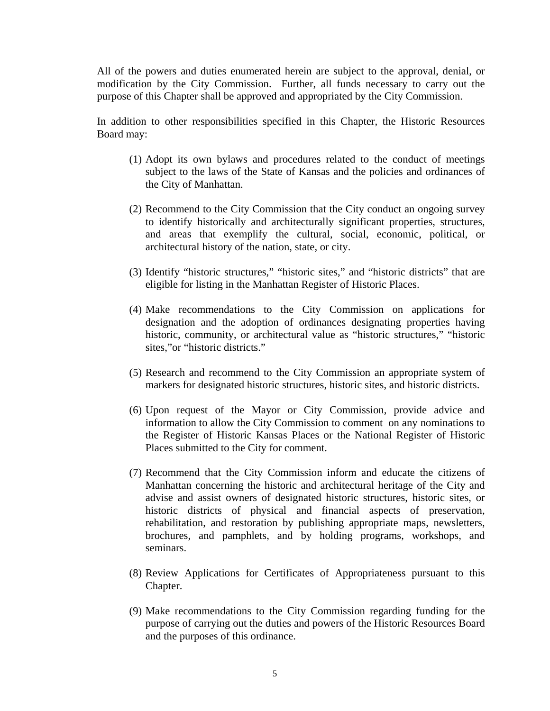All of the powers and duties enumerated herein are subject to the approval, denial, or modification by the City Commission. Further, all funds necessary to carry out the purpose of this Chapter shall be approved and appropriated by the City Commission.

 In addition to other responsibilities specified in this Chapter, the Historic Resources Board may:

- (1) Adopt its own bylaws and procedures related to the conduct of meetings subject to the laws of the State of Kansas and the policies and ordinances of the City of Manhattan.
- (2) Recommend to the City Commission that the City conduct an ongoing survey to identify historically and architecturally significant properties, structures, and areas that exemplify the cultural, social, economic, political, or architectural history of the nation, state, or city.
- (3) Identify "historic structures," "historic sites," and "historic districts" that are eligible for listing in the Manhattan Register of Historic Places.
- (4) Make recommendations to the City Commission on applications for designation and the adoption of ordinances designating properties having historic, community, or architectural value as "historic structures," "historic sites," or "historic districts."
- (5) Research and recommend to the City Commission an appropriate system of markers for designated historic structures, historic sites, and historic districts.
- (6) Upon request of the Mayor or City Commission, provide advice and information to allow the City Commission to comment on any nominations to the Register of Historic Kansas Places or the National Register of Historic Places submitted to the City for comment.
- (7) Recommend that the City Commission inform and educate the citizens of Manhattan concerning the historic and architectural heritage of the City and advise and assist owners of designated historic structures, historic sites, or historic districts of physical and financial aspects of preservation, rehabilitation, and restoration by publishing appropriate maps, newsletters, brochures, and pamphlets, and by holding programs, workshops, and seminars.
- (8) Review Applications for Certificates of Appropriateness pursuant to this Chapter.
- (9) Make recommendations to the City Commission regarding funding for the purpose of carrying out the duties and powers of the Historic Resources Board and the purposes of this ordinance.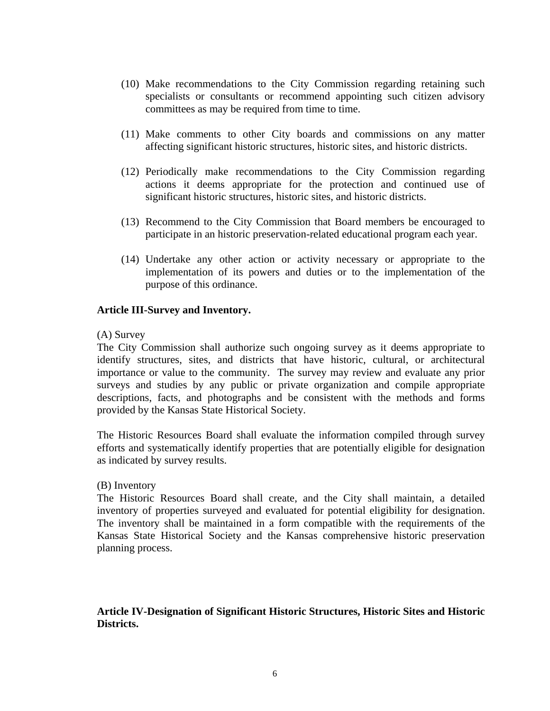- (10) Make recommendations to the City Commission regarding retaining such specialists or consultants or recommend appointing such citizen advisory committees as may be required from time to time.
- (11) Make comments to other City boards and commissions on any matter affecting significant historic structures, historic sites, and historic districts.
- (12) Periodically make recommendations to the City Commission regarding actions it deems appropriate for the protection and continued use of significant historic structures, historic sites, and historic districts.
- (13) Recommend to the City Commission that Board members be encouraged to participate in an historic preservation-related educational program each year.
- (14) Undertake any other action or activity necessary or appropriate to the implementation of its powers and duties or to the implementation of the purpose of this ordinance.

#### **Article III-Survey and Inventory.**

#### (A) Survey

The City Commission shall authorize such ongoing survey as it deems appropriate to identify structures, sites, and districts that have historic, cultural, or architectural importance or value to the community. The survey may review and evaluate any prior surveys and studies by any public or private organization and compile appropriate descriptions, facts, and photographs and be consistent with the methods and forms provided by the Kansas State Historical Society.

The Historic Resources Board shall evaluate the information compiled through survey efforts and systematically identify properties that are potentially eligible for designation as indicated by survey results.

#### (B) Inventory

The Historic Resources Board shall create, and the City shall maintain, a detailed inventory of properties surveyed and evaluated for potential eligibility for designation. The inventory shall be maintained in a form compatible with the requirements of the Kansas State Historical Society and the Kansas comprehensive historic preservation planning process.

# **Article IV-Designation of Significant Historic Structures, Historic Sites and Historic Districts.**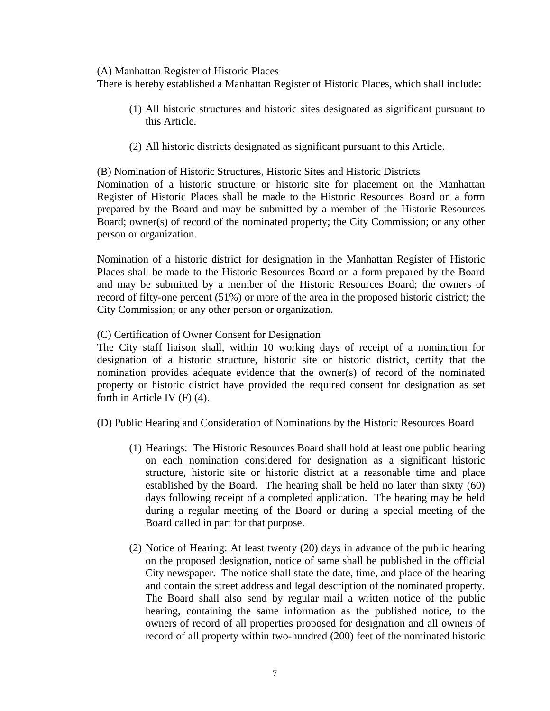#### (A) Manhattan Register of Historic Places

person or organization.

There is hereby established a Manhattan Register of Historic Places, which shall include:

- (1) All historic structures and historic sites designated as significant pursuant to this Article.
- (2) All historic districts designated as significant pursuant to this Article.

(B) Nomination of Historic Structures, Historic Sites and Historic Districts Nomination of a historic structure or historic site for placement on the Manhattan Register of Historic Places shall be made to the Historic Resources Board on a form prepared by the Board and may be submitted by a member of the Historic Resources

Nomination of a historic district for designation in the Manhattan Register of Historic Places shall be made to the Historic Resources Board on a form prepared by the Board and may be submitted by a member of the Historic Resources Board; the owners of record of fifty-one percent (51%) or more of the area in the proposed historic district; the City Commission; or any other person or organization.

Board; owner(s) of record of the nominated property; the City Commission; or any other

### (C) Certification of Owner Consent for Designation

The City staff liaison shall, within 10 working days of receipt of a nomination for designation of a historic structure, historic site or historic district, certify that the nomination provides adequate evidence that the owner(s) of record of the nominated property or historic district have provided the required consent for designation as set forth in Article IV (F) (4).

(D) Public Hearing and Consideration of Nominations by the Historic Resources Board

- (1) Hearings: The Historic Resources Board shall hold at least one public hearing on each nomination considered for designation as a significant historic structure, historic site or historic district at a reasonable time and place established by the Board. The hearing shall be held no later than sixty (60) days following receipt of a completed application. The hearing may be held during a regular meeting of the Board or during a special meeting of the Board called in part for that purpose.
- (2) Notice of Hearing: At least twenty (20) days in advance of the public hearing on the proposed designation, notice of same shall be published in the official City newspaper. The notice shall state the date, time, and place of the hearing and contain the street address and legal description of the nominated property. The Board shall also send by regular mail a written notice of the public hearing, containing the same information as the published notice, to the owners of record of all properties proposed for designation and all owners of record of all property within two-hundred (200) feet of the nominated historic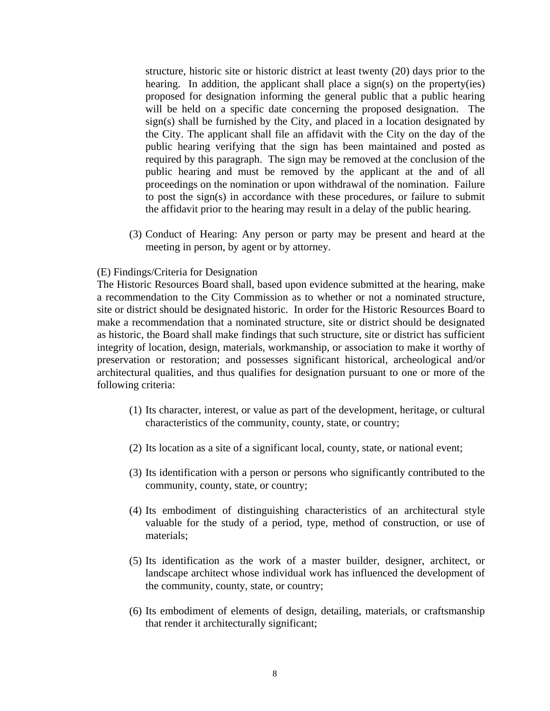structure, historic site or historic district at least twenty (20) days prior to the hearing. In addition, the applicant shall place a sign(s) on the property(ies) proposed for designation informing the general public that a public hearing will be held on a specific date concerning the proposed designation. The sign(s) shall be furnished by the City, and placed in a location designated by the City. The applicant shall file an affidavit with the City on the day of the public hearing verifying that the sign has been maintained and posted as required by this paragraph. The sign may be removed at the conclusion of the public hearing and must be removed by the applicant at the and of all proceedings on the nomination or upon withdrawal of the nomination. Failure to post the sign(s) in accordance with these procedures, or failure to submit the affidavit prior to the hearing may result in a delay of the public hearing.

(3) Conduct of Hearing: Any person or party may be present and heard at the meeting in person, by agent or by attorney.

#### (E) Findings/Criteria for Designation

The Historic Resources Board shall, based upon evidence submitted at the hearing, make a recommendation to the City Commission as to whether or not a nominated structure, site or district should be designated historic. In order for the Historic Resources Board to make a recommendation that a nominated structure, site or district should be designated as historic, the Board shall make findings that such structure, site or district has sufficient integrity of location, design, materials, workmanship, or association to make it worthy of preservation or restoration; and possesses significant historical, archeological and/or architectural qualities, and thus qualifies for designation pursuant to one or more of the following criteria:

- (1) Its character, interest, or value as part of the development, heritage, or cultural characteristics of the community, county, state, or country;
- (2) Its location as a site of a significant local, county, state, or national event;
- (3) Its identification with a person or persons who significantly contributed to the community, county, state, or country;
- (4) Its embodiment of distinguishing characteristics of an architectural style valuable for the study of a period, type, method of construction, or use of materials;
- (5) Its identification as the work of a master builder, designer, architect, or landscape architect whose individual work has influenced the development of the community, county, state, or country;
- (6) Its embodiment of elements of design, detailing, materials, or craftsmanship that render it architecturally significant;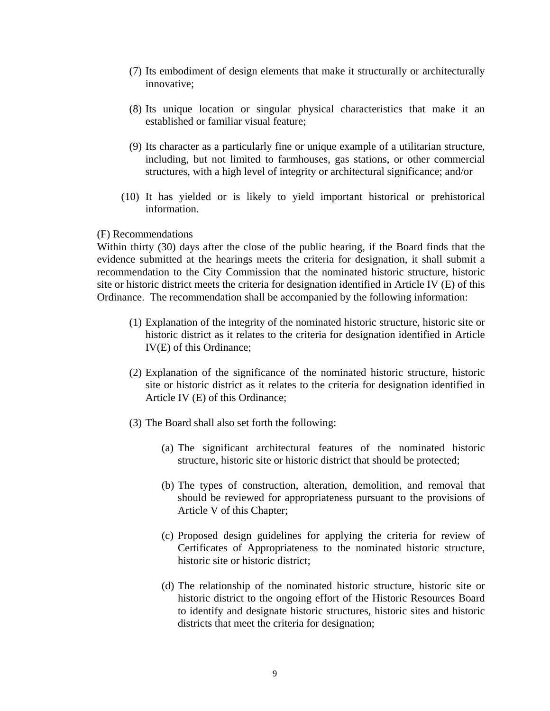- (7) Its embodiment of design elements that make it structurally or architecturally innovative;
- (8) Its unique location or singular physical characteristics that make it an established or familiar visual feature;
- (9) Its character as a particularly fine or unique example of a utilitarian structure, including, but not limited to farmhouses, gas stations, or other commercial structures, with a high level of integrity or architectural significance; and/or
- (10) It has yielded or is likely to yield important historical or prehistorical information.

### (F) Recommendations

Within thirty (30) days after the close of the public hearing, if the Board finds that the evidence submitted at the hearings meets the criteria for designation, it shall submit a recommendation to the City Commission that the nominated historic structure, historic site or historic district meets the criteria for designation identified in Article IV (E) of this Ordinance. The recommendation shall be accompanied by the following information:

- (1) Explanation of the integrity of the nominated historic structure, historic site or historic district as it relates to the criteria for designation identified in Article IV(E) of this Ordinance;
- (2) Explanation of the significance of the nominated historic structure, historic site or historic district as it relates to the criteria for designation identified in Article IV (E) of this Ordinance;
- (3) The Board shall also set forth the following:
	- (a) The significant architectural features of the nominated historic structure, historic site or historic district that should be protected;
	- (b) The types of construction, alteration, demolition, and removal that should be reviewed for appropriateness pursuant to the provisions of Article V of this Chapter;
	- (c) Proposed design guidelines for applying the criteria for review of Certificates of Appropriateness to the nominated historic structure, historic site or historic district;
	- (d) The relationship of the nominated historic structure, historic site or historic district to the ongoing effort of the Historic Resources Board to identify and designate historic structures, historic sites and historic districts that meet the criteria for designation;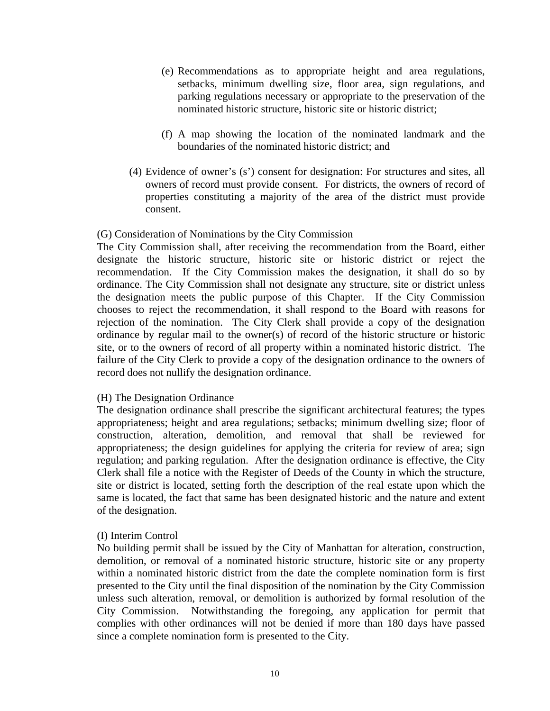- (e) Recommendations as to appropriate height and area regulations, setbacks, minimum dwelling size, floor area, sign regulations, and parking regulations necessary or appropriate to the preservation of the nominated historic structure, historic site or historic district;
- (f) A map showing the location of the nominated landmark and the boundaries of the nominated historic district; and
- (4) Evidence of owner's (s') consent for designation: For structures and sites, all owners of record must provide consent. For districts, the owners of record of properties constituting a majority of the area of the district must provide consent.

### (G) Consideration of Nominations by the City Commission

The City Commission shall, after receiving the recommendation from the Board, either designate the historic structure, historic site or historic district or reject the recommendation. If the City Commission makes the designation, it shall do so by ordinance. The City Commission shall not designate any structure, site or district unless the designation meets the public purpose of this Chapter. If the City Commission chooses to reject the recommendation, it shall respond to the Board with reasons for rejection of the nomination. The City Clerk shall provide a copy of the designation ordinance by regular mail to the owner(s) of record of the historic structure or historic site, or to the owners of record of all property within a nominated historic district. The failure of the City Clerk to provide a copy of the designation ordinance to the owners of record does not nullify the designation ordinance.

### (H) The Designation Ordinance

The designation ordinance shall prescribe the significant architectural features; the types appropriateness; height and area regulations; setbacks; minimum dwelling size; floor of construction, alteration, demolition, and removal that shall be reviewed for appropriateness; the design guidelines for applying the criteria for review of area; sign regulation; and parking regulation. After the designation ordinance is effective, the City Clerk shall file a notice with the Register of Deeds of the County in which the structure, site or district is located, setting forth the description of the real estate upon which the same is located, the fact that same has been designated historic and the nature and extent of the designation.

### (I) Interim Control

No building permit shall be issued by the City of Manhattan for alteration, construction, demolition, or removal of a nominated historic structure, historic site or any property within a nominated historic district from the date the complete nomination form is first presented to the City until the final disposition of the nomination by the City Commission unless such alteration, removal, or demolition is authorized by formal resolution of the City Commission. Notwithstanding the foregoing, any application for permit that complies with other ordinances will not be denied if more than 180 days have passed since a complete nomination form is presented to the City.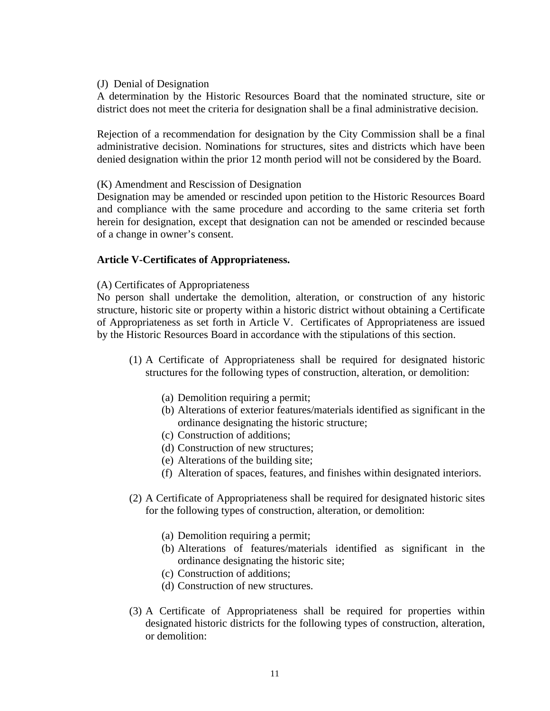#### (J) Denial of Designation

A determination by the Historic Resources Board that the nominated structure, site or district does not meet the criteria for designation shall be a final administrative decision.

Rejection of a recommendation for designation by the City Commission shall be a final administrative decision. Nominations for structures, sites and districts which have been denied designation within the prior 12 month period will not be considered by the Board.

#### (K) Amendment and Rescission of Designation

Designation may be amended or rescinded upon petition to the Historic Resources Board and compliance with the same procedure and according to the same criteria set forth herein for designation, except that designation can not be amended or rescinded because of a change in owner's consent.

### **Article V-Certificates of Appropriateness.**

### (A) Certificates of Appropriateness

No person shall undertake the demolition, alteration, or construction of any historic structure, historic site or property within a historic district without obtaining a Certificate of Appropriateness as set forth in Article V. Certificates of Appropriateness are issued by the Historic Resources Board in accordance with the stipulations of this section.

- (1) A Certificate of Appropriateness shall be required for designated historic structures for the following types of construction, alteration, or demolition:
	- (a) Demolition requiring a permit;
	- (b) Alterations of exterior features/materials identified as significant in the ordinance designating the historic structure;
	- (c) Construction of additions;
	- (d) Construction of new structures;
	- (e) Alterations of the building site;
	- (f) Alteration of spaces, features, and finishes within designated interiors.
- (2) A Certificate of Appropriateness shall be required for designated historic sites for the following types of construction, alteration, or demolition:
	- (a) Demolition requiring a permit;
	- (b) Alterations of features/materials identified as significant in the ordinance designating the historic site;
	- (c) Construction of additions;
	- (d) Construction of new structures.
- (3) A Certificate of Appropriateness shall be required for properties within designated historic districts for the following types of construction, alteration, or demolition: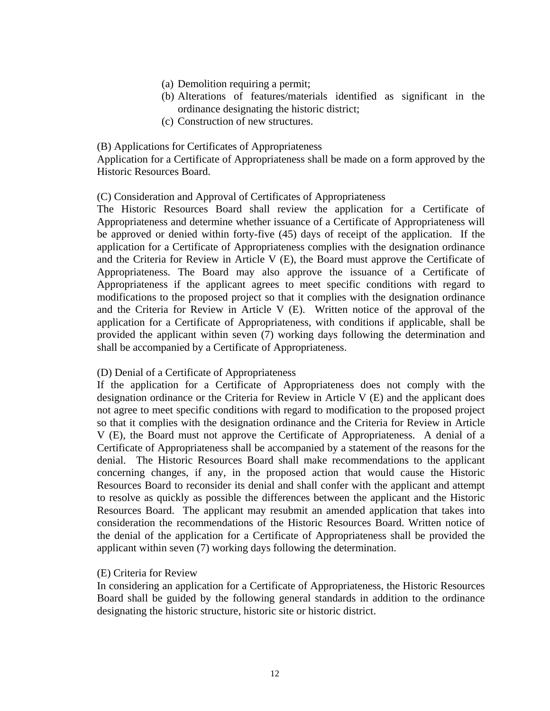- (a) Demolition requiring a permit;
- (b) Alterations of features/materials identified as significant in the ordinance designating the historic district;
- (c) Construction of new structures.

#### (B) Applications for Certificates of Appropriateness

Application for a Certificate of Appropriateness shall be made on a form approved by the Historic Resources Board.

#### (C) Consideration and Approval of Certificates of Appropriateness

The Historic Resources Board shall review the application for a Certificate of Appropriateness and determine whether issuance of a Certificate of Appropriateness will be approved or denied within forty-five (45) days of receipt of the application. If the application for a Certificate of Appropriateness complies with the designation ordinance and the Criteria for Review in Article V (E), the Board must approve the Certificate of Appropriateness. The Board may also approve the issuance of a Certificate of Appropriateness if the applicant agrees to meet specific conditions with regard to modifications to the proposed project so that it complies with the designation ordinance and the Criteria for Review in Article V (E). Written notice of the approval of the application for a Certificate of Appropriateness, with conditions if applicable, shall be provided the applicant within seven (7) working days following the determination and shall be accompanied by a Certificate of Appropriateness.

### (D) Denial of a Certificate of Appropriateness

If the application for a Certificate of Appropriateness does not comply with the designation ordinance or the Criteria for Review in Article V (E) and the applicant does not agree to meet specific conditions with regard to modification to the proposed project so that it complies with the designation ordinance and the Criteria for Review in Article V (E), the Board must not approve the Certificate of Appropriateness. A denial of a Certificate of Appropriateness shall be accompanied by a statement of the reasons for the denial. The Historic Resources Board shall make recommendations to the applicant concerning changes, if any, in the proposed action that would cause the Historic Resources Board to reconsider its denial and shall confer with the applicant and attempt to resolve as quickly as possible the differences between the applicant and the Historic Resources Board. The applicant may resubmit an amended application that takes into consideration the recommendations of the Historic Resources Board. Written notice of the denial of the application for a Certificate of Appropriateness shall be provided the applicant within seven (7) working days following the determination.

### (E) Criteria for Review

In considering an application for a Certificate of Appropriateness, the Historic Resources Board shall be guided by the following general standards in addition to the ordinance designating the historic structure, historic site or historic district.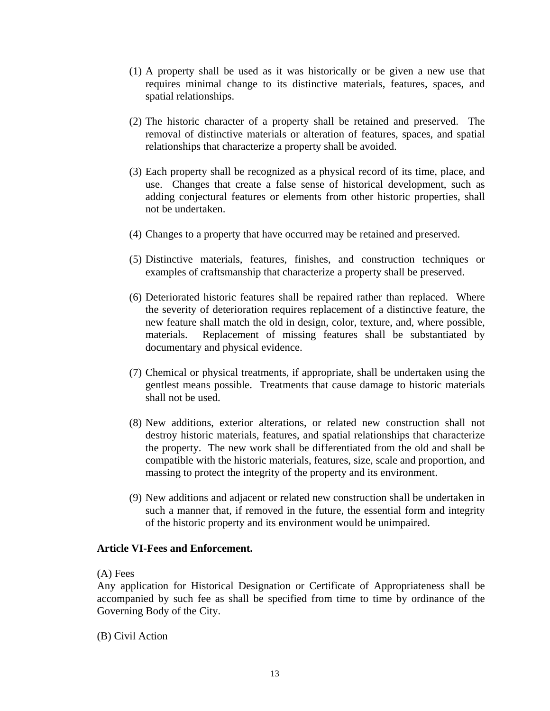- (1) A property shall be used as it was historically or be given a new use that requires minimal change to its distinctive materials, features, spaces, and spatial relationships.
- (2) The historic character of a property shall be retained and preserved. The removal of distinctive materials or alteration of features, spaces, and spatial relationships that characterize a property shall be avoided.
- (3) Each property shall be recognized as a physical record of its time, place, and use. Changes that create a false sense of historical development, such as adding conjectural features or elements from other historic properties, shall not be undertaken.
- (4) Changes to a property that have occurred may be retained and preserved.
- (5) Distinctive materials, features, finishes, and construction techniques or examples of craftsmanship that characterize a property shall be preserved.
- (6) Deteriorated historic features shall be repaired rather than replaced. Where the severity of deterioration requires replacement of a distinctive feature, the new feature shall match the old in design, color, texture, and, where possible, materials. Replacement of missing features shall be substantiated by documentary and physical evidence.
- (7) Chemical or physical treatments, if appropriate, shall be undertaken using the gentlest means possible. Treatments that cause damage to historic materials shall not be used.
- (8) New additions, exterior alterations, or related new construction shall not destroy historic materials, features, and spatial relationships that characterize the property. The new work shall be differentiated from the old and shall be compatible with the historic materials, features, size, scale and proportion, and massing to protect the integrity of the property and its environment.
- (9) New additions and adjacent or related new construction shall be undertaken in such a manner that, if removed in the future, the essential form and integrity of the historic property and its environment would be unimpaired.

### **Article VI-Fees and Enforcement.**

#### (A) Fees

Any application for Historical Designation or Certificate of Appropriateness shall be accompanied by such fee as shall be specified from time to time by ordinance of the Governing Body of the City.

(B) Civil Action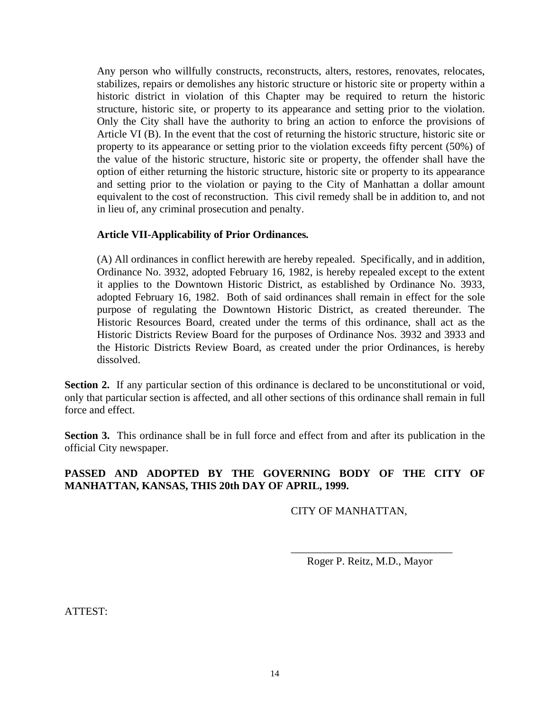Any person who willfully constructs, reconstructs, alters, restores, renovates, relocates, stabilizes, repairs or demolishes any historic structure or historic site or property within a historic district in violation of this Chapter may be required to return the historic structure, historic site, or property to its appearance and setting prior to the violation. Only the City shall have the authority to bring an action to enforce the provisions of Article VI (B). In the event that the cost of returning the historic structure, historic site or property to its appearance or setting prior to the violation exceeds fifty percent (50%) of the value of the historic structure, historic site or property, the offender shall have the option of either returning the historic structure, historic site or property to its appearance and setting prior to the violation or paying to the City of Manhattan a dollar amount equivalent to the cost of reconstruction. This civil remedy shall be in addition to, and not in lieu of, any criminal prosecution and penalty.

# **Article VII-Applicability of Prior Ordinances***.*

(A) All ordinances in conflict herewith are hereby repealed. Specifically, and in addition, Ordinance No. 3932, adopted February 16, 1982, is hereby repealed except to the extent it applies to the Downtown Historic District, as established by Ordinance No. 3933, adopted February 16, 1982. Both of said ordinances shall remain in effect for the sole purpose of regulating the Downtown Historic District, as created thereunder*.* The Historic Resources Board, created under the terms of this ordinance, shall act as the Historic Districts Review Board for the purposes of Ordinance Nos. 3932 and 3933 and the Historic Districts Review Board, as created under the prior Ordinances, is hereby dissolved.

Section 2. If any particular section of this ordinance is declared to be unconstitutional or void, only that particular section is affected, and all other sections of this ordinance shall remain in full force and effect.

**Section 3.** This ordinance shall be in full force and effect from and after its publication in the official City newspaper.

# **PASSED AND ADOPTED BY THE GOVERNING BODY OF THE CITY OF MANHATTAN, KANSAS, THIS 20th DAY OF APRIL, 1999.**

 $\overline{\phantom{a}}$  , and the contract of the contract of the contract of the contract of the contract of the contract of the contract of the contract of the contract of the contract of the contract of the contract of the contrac

# CITY OF MANHATTAN,

Roger P. Reitz, M.D., Mayor

ATTEST: